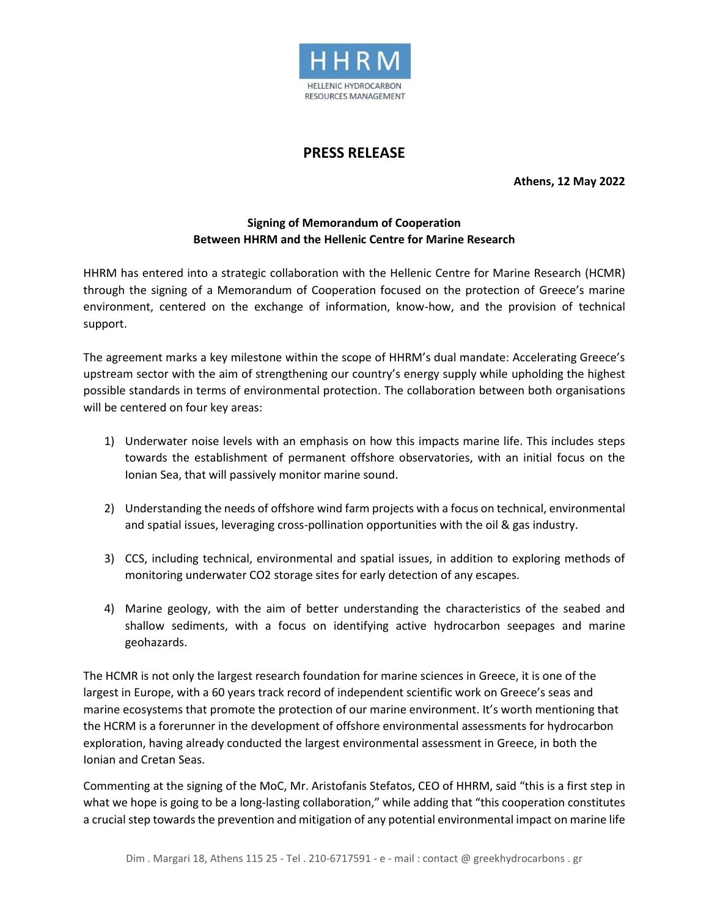

## **PRESS RELEASE**

**Athens, 12 May 2022**

## **Signing of Memorandum of Cooperation Between HHRM and the Hellenic Centre for Marine Research**

HHRM has entered into a strategic collaboration with the Hellenic Centre for Marine Research (HCMR) through the signing of a Memorandum of Cooperation focused on the protection of Greece's marine environment, centered on the exchange of information, know-how, and the provision of technical support.

The agreement marks a key milestone within the scope of HHRM's dual mandate: Accelerating Greece's upstream sector with the aim of strengthening our country's energy supply while upholding the highest possible standards in terms of environmental protection. The collaboration between both organisations will be centered on four key areas:

- 1) Underwater noise levels with an emphasis on how this impacts marine life. This includes steps towards the establishment of permanent offshore observatories, with an initial focus on the Ionian Sea, that will passively monitor marine sound.
- 2) Understanding the needs of offshore wind farm projects with a focus on technical, environmental and spatial issues, leveraging cross-pollination opportunities with the oil & gas industry.
- 3) CCS, including technical, environmental and spatial issues, in addition to exploring methods of monitoring underwater CO2 storage sites for early detection of any escapes.
- 4) Marine geology, with the aim of better understanding the characteristics of the seabed and shallow sediments, with a focus on identifying active hydrocarbon seepages and marine geohazards.

The HCMR is not only the largest research foundation for marine sciences in Greece, it is one of the largest in Europe, with a 60 years track record of independent scientific work on Greece's seas and marine ecosystems that promote the protection of our marine environment. It's worth mentioning that the HCRM is a forerunner in the development of offshore environmental assessments for hydrocarbon exploration, having already conducted the largest environmental assessment in Greece, in both the Ionian and Cretan Seas.

Commenting at the signing of the MoC, Mr. Aristofanis Stefatos, CEO of HHRM, said "this is a first step in what we hope is going to be a long-lasting collaboration," while adding that "this cooperation constitutes a crucial step towards the prevention and mitigation of any potential environmental impact on marine life